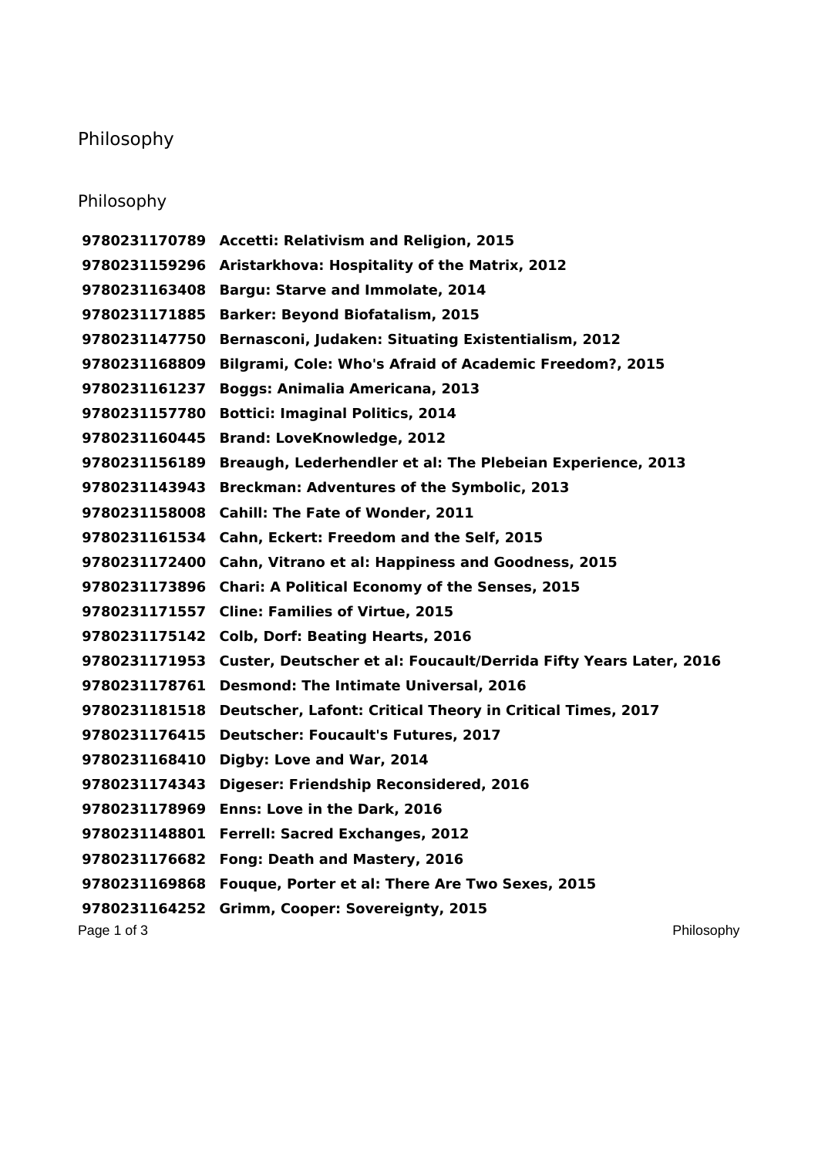## Philosophy

## Philosophy

Page 1 of 3 Philosophy **Accetti: Relativism and Religion, 2015 Aristarkhova: Hospitality of the Matrix, 2012 Bargu: Starve and Immolate, 2014 Barker: Beyond Biofatalism, 2015 Bernasconi, Judaken: Situating Existentialism, 2012 Bilgrami, Cole: Who's Afraid of Academic Freedom?, 2015 Boggs: Animalia Americana, 2013 Bottici: Imaginal Politics, 2014 Brand: LoveKnowledge, 2012 Breaugh, Lederhendler et al: The Plebeian Experience, 2013 Breckman: Adventures of the Symbolic, 2013 Cahill: The Fate of Wonder, 2011 Cahn, Eckert: Freedom and the Self, 2015 Cahn, Vitrano et al: Happiness and Goodness, 2015 Chari: A Political Economy of the Senses, 2015 Cline: Families of Virtue, 2015 Colb, Dorf: Beating Hearts, 2016 Custer, Deutscher et al: Foucault/Derrida Fifty Years Later, 2016 Desmond: The Intimate Universal, 2016 Deutscher, Lafont: Critical Theory in Critical Times, 2017 Deutscher: Foucault's Futures, 2017 Digby: Love and War, 2014 Digeser: Friendship Reconsidered, 2016 Enns: Love in the Dark, 2016 Ferrell: Sacred Exchanges, 2012 Fong: Death and Mastery, 2016 Fouque, Porter et al: There Are Two Sexes, 2015 Grimm, Cooper: Sovereignty, 2015**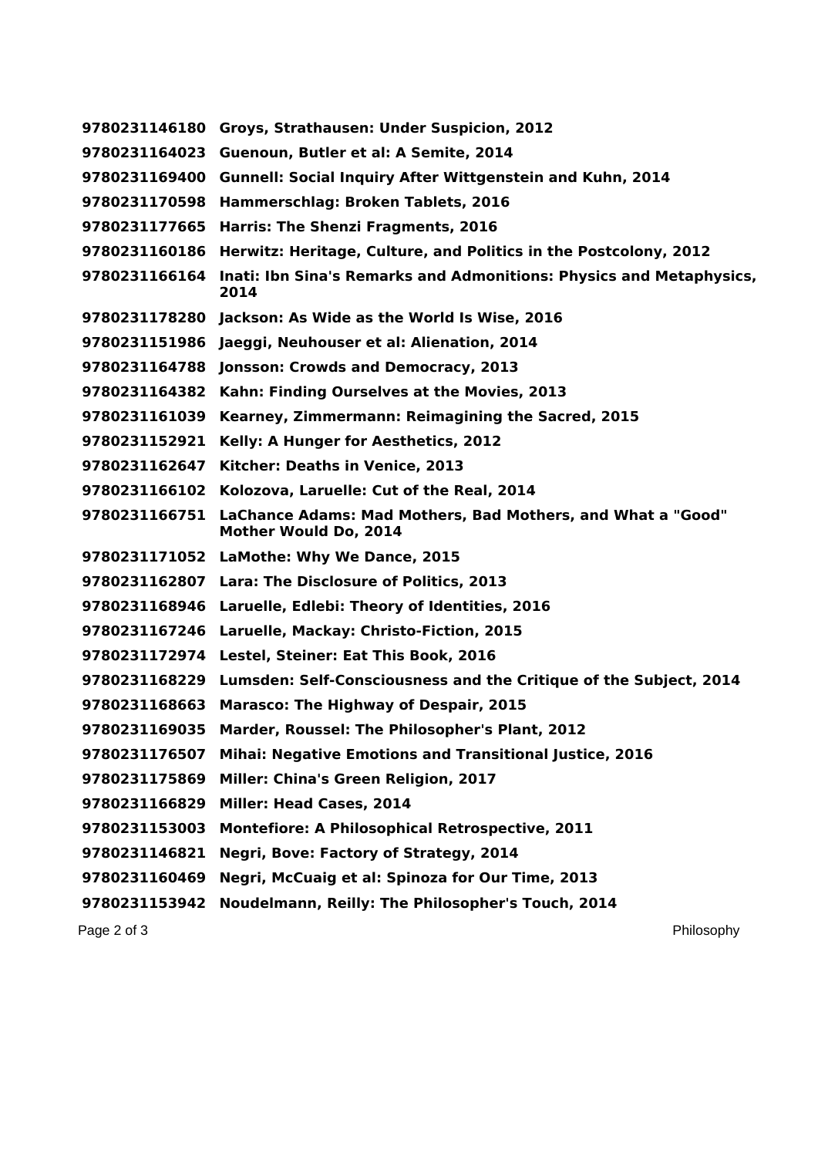| 9780231146180 | Groys, Strathausen: Under Suspicion, 2012                                            |
|---------------|--------------------------------------------------------------------------------------|
| 9780231164023 | Guenoun, Butler et al: A Semite, 2014                                                |
| 9780231169400 | <b>Gunnell: Social Inquiry After Wittgenstein and Kuhn, 2014</b>                     |
| 9780231170598 | Hammerschlag: Broken Tablets, 2016                                                   |
| 9780231177665 | Harris: The Shenzi Fragments, 2016                                                   |
| 9780231160186 | Herwitz: Heritage, Culture, and Politics in the Postcolony, 2012                     |
| 9780231166164 | Inati: Ibn Sina's Remarks and Admonitions: Physics and Metaphysics,<br>2014          |
|               | 9780231178280 Jackson: As Wide as the World Is Wise, 2016                            |
|               | 9780231151986 Jaeggi, Neuhouser et al: Alienation, 2014                              |
| 9780231164788 | Jonsson: Crowds and Democracy, 2013                                                  |
| 9780231164382 | Kahn: Finding Ourselves at the Movies, 2013                                          |
| 9780231161039 | Kearney, Zimmermann: Reimagining the Sacred, 2015                                    |
| 9780231152921 | Kelly: A Hunger for Aesthetics, 2012                                                 |
| 9780231162647 | Kitcher: Deaths in Venice, 2013                                                      |
| 9780231166102 | Kolozova, Laruelle: Cut of the Real, 2014                                            |
| 9780231166751 | LaChance Adams: Mad Mothers, Bad Mothers, and What a "Good"<br>Mother Would Do, 2014 |
|               | 9780231171052 LaMothe: Why We Dance, 2015                                            |
|               | 9780231162807 Lara: The Disclosure of Politics, 2013                                 |
|               | 9780231168946 Laruelle, Edlebi: Theory of Identities, 2016                           |
| 9780231167246 | Laruelle, Mackay: Christo-Fiction, 2015                                              |
|               | 9780231172974 Lestel, Steiner: Eat This Book, 2016                                   |
|               | 9780231168229 Lumsden: Self-Consciousness and the Critique of the Subject, 2014      |
| 9780231168663 | <b>Marasco: The Highway of Despair, 2015</b>                                         |
| 9780231169035 | Marder, Roussel: The Philosopher's Plant, 2012                                       |
| 9780231176507 | <b>Mihai: Negative Emotions and Transitional Justice, 2016</b>                       |
| 9780231175869 | Miller: China's Green Religion, 2017                                                 |
| 9780231166829 | <b>Miller: Head Cases, 2014</b>                                                      |
| 9780231153003 | <b>Montefiore: A Philosophical Retrospective, 2011</b>                               |
| 9780231146821 | Negri, Bove: Factory of Strategy, 2014                                               |
| 9780231160469 | Negri, McCuaig et al: Spinoza for Our Time, 2013                                     |
| 9780231153942 | Noudelmann, Reilly: The Philosopher's Touch, 2014                                    |
| Page 2 of 3   | Philosophy                                                                           |